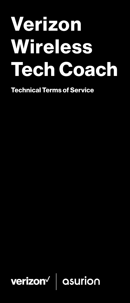# Verizon Wireless Tech Coach

Technical Terms of Service

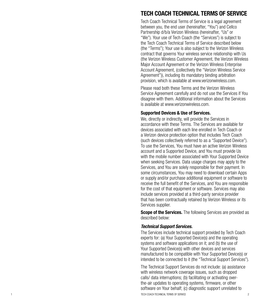# TECH COACH TECHNICAL TERMS OF SERVICE

Tech Coach Technical Terms of Service is a legal agreement between you, the end user (hereinafter, "You") and Cellco Partnership d/b/a Verizon Wireless (hereinafter, "Us" or "We"). Your use of Tech Coach (the "Services") is subject to the Tech Coach Technical Terms of Service described below (the "Terms"); Your use is also subject to the Verizon Wireless contract that governs Your wireless service relationship with Us (the Verizon Wireless Customer Agreement, the Verizon Wireless Major Account Agreement or the Verizon Wireless Enterprise Account Agreement, (collectively the "Verizon Wireless Service Agreement")), including its mandatory binding arbitration provision, which is available at www.verizonwireless.com.

Please read both these Terms and the Verizon Wireless Service Agreement carefully and do not use the Services if You disagree with them. Additional information about the Services is available at www.verizonwireless.com.

# Supported Devices & Use of Services.

We, directly or indirectly, will provide the Services in accordance with these Terms. The Services are available for devices associated with each line enrolled in Tech Coach or a Verizon device protection option that includes Tech Coach (such devices collectively referred to as a "Supported Device"). To use the Services, You must have an active Verizon Wireless account and a Supported Device, and You must provide Us with the mobile number associated with Your Supported Device when seeking Services. Data usage charges may apply to the Services, and You are solely responsible for their payment. In some circumstances, You may need to download certain Apps or supply and/or purchase additional equipment or software to receive the full benefit of the Services, and You are responsible for the cost of that equipment or software. Services may also include services provided at a third-party service provider that has been contractually retained by Verizon Wireless or its Services supplier.

**Scope of the Services.** The following Services are provided as described below:

# *Technical Support Services.*

The Services include technical support provided by Tech Coach experts for: (a) Your Supported Device(s) and the operating systems and software applications on it; and (b) the use of Your Supported Device(s) with other devices and services manufactured to be compatible with Your Supported Device(s) or intended to be connected to it (the "Technical Support Services").

1 TECH COACH TECHNICAL TERMS OF SERVICE 2 The Technical Support Services do not include: (a) assistance with wireless network coverage issues, such as dropped calls/ data interruptions; (b) facilitating or activating overthe-air updates to operating systems, firmware, or other software on Your behalf; (c) diagnostic support unrelated to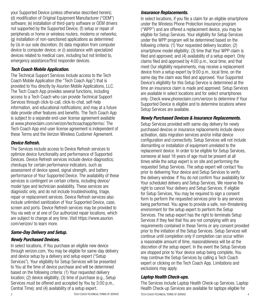your Supported Device (unless otherwise described herein); (d) modification of Original Equipment Manufacturer ("OEM") software; (e) installation of third-party software or OEM drivers not supported by the Supported Device; (f) setup or repair of peripherals or home or wireless routers, modems or networks; (g) installation of non-sanctioned applications as determined by Us in our sole discretion; (h) data migration from computer device to computer device; or (i) assistance with specialized devices related to medical care, including but not limited to, emergency assistance/first responder devices.

#### *Tech Coach Mobile Application.*

The Technical Support Services include access to the Tech Coach Mobile Application (the "Tech Coach App") that is provided to You directly by Asurion Mobile Applications, LLC. The Tech Coach App provides several functions, including access to a Tech Coach who can provide Technical Support Services through click-to-call, click-to-chat, self-help information, and educational notifications; and may at a future date provide other features and benefits. The Tech Coach App is subject to a separate end-user license agreement available at www.phoneclaim.com/verizon/techcoachapp/terms/. The Tech Coach App end-user license agreement is independent of these Terms and the Verizon Wireless Customer Agreement.

#### *Device Refresh.*

The Services include access to Device Refresh services to optimize device functionality and performance of Supported Devices. Device Refresh services include device diagnostics; checkups for certain performance indicators, such as assessment of device speed, signal strength, and battery performance of Your Supported Device. The availability of these services is contingent on certain criteria, including device/ model type and technician availability. These services are diagnostic only, and do not include troubleshooting, triage, repair or replacement services. Device Refresh services also include unlimited sanitization of Your Supported Device, case, screen and ports. Device Refresh services may be provided to You via web or at one of Our authorized repair locations, which are subject to change at any time. Visit https://www.asurion. com/verizon/ to learn more.

# *Same-Day Delivery and Setup.*

# *Newly Purchased Devices.*

In select locations, if You purchase an eligible new device through verizon.com, You may be eligible for same-day delivery and device setup by a delivery and setup expert ("Setup Services"). Your eligibility for Setup Services will be presented to You at the time of device purchase and will be determined based on the following criteria: (1) Your requested delivery location; (2) device eligibility; (3) time of purchase (e.g., Setup Services must be offered and accepted by You by 3:00 p.m., Central Time); and (4) availability of a setup expert.

# *Insurance Replacements.*

In select locations, if you file a claim for an eligible smartphone under the Wireless Phone Protection insurance program ("WPP") and are offered a replacement device, you may be eligible for Setup Services. Your eligibility for Setup Services under the WPP program will be determined based on the following criteria: (1) Your requested delivery location; (2) smartphone model eligibility; (3) time that Your WPP claim is filed and approved; and (4) availability of a setup expert. Only claims filed and approved by 4:00 p.m., local time, and that meet Our eligibility requirements, may receive a replacement device from a setup expert by 9:00 p.m., local time, on the same day the claim was filed and approved. Your Supported Device's eligibility for this Setup Service is determined at the time an insurance claim is made and approved. Setup Services are available in select locations and for select smartphones only. Check www.phoneclaim.com/verizon to determine if Your Supported Device is eligible and to determine locations where Setup Services are available.

#### *Newly Purchased Devices & Insurance Replacements.*

Setup Services provided with same-day delivery for newly purchased devices or insurance replacements include device activation, data migration services and/or initial device configuration and connectivity. Setup Services will not include dismantling or installation of equipment unrelated to the replacement device. In order to be eligible for Setup Services, someone at least 18 years of age must be present at all times while the setup expert is on site and performing the requested Setup Services. The setup expert will contact You prior to delivering Your device and Setup Services to verify the delivery window. If You do not confirm Your availability for Your scheduled delivery and Setup Services, We reserve the right to cancel Your delivery and Setup Services. If eligible for Setup Services. You may be required to sign a consent form to perform the requested services prior to any services being performed. You agree to provide a safe, non-threatening environment for the setup expert to perform the Setup Services. The setup expert has the right to terminate Setup Services if they feel that You are not complying with any requirements contained in these Terms or any consent provided prior to the initiation of the Setup Services. Setup Services will continue until completion only if completion can occur within a reasonable amount of time, reasonableness will be at the discretion of the setup expert. In the event the Setup Services are stopped prior to Your device setup being complete, You may continue the Setup Services by calling a Tech Coach expert or clicking on the Tech Coach App. Limitations and exclusions may apply.

# *Laptop Health Check-ups.*

3 TECH COACH TECHNICAL TERMS OF SERVICE TECH COACH TECHNICAL TERMS OF SERVICE 4 The Services include Laptop Health Check-up Services. Laptop Health Check-up Services are available for laptops eligible for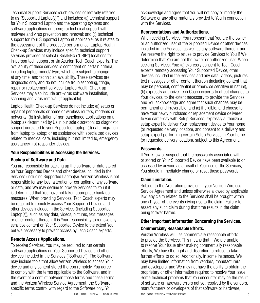Technical Support Services (such devices collectively referred to as "Supported Laptop(s)") and includes: (a) technical support for Your Supported Laptop and the operating systems and software applications on them; (b) technical support with malware and virus prevention and removal; and (c) technical support for Your Supported Laptop (if applicable) as it relates to the assessment of the product's performance. Laptop Health Check-up Services may include specific technical support services provided at select uBreakiFix ("UBIF") locations for in-person tech support or via Asurion Tech Coach experts. The availability of these services is contingent on certain criteria, including laptop model/ type, which are subject to change at any time, and technician availability. These services are diagnostic only, and do not include troubleshooting, triage, repair or replacement services. Laptop Health Check-up Services may also include anti-virus software installation, scanning and virus removal (if applicable).

Laptop Health Check-up Services do not include: (a) setup or repair of peripherals or home or wireless routers, modems or networks; (b) installation of non-sanctioned applications on a laptop as determined by Us in our sole discretion; (c) diagnostic support unrelated to your Supported Laptop; (d) data migration from laptop to laptop; or (e) assistance with specialized devices related to medical care, including but not limited to, emergency assistance/first responder devices.

#### Your Responsibilities in Accessing the Services.

#### Backup of Software and Data.

You are responsible for backing up the software or data stored on Your Supported Device and other devices included in the Services (including Supported Laptop(s)). Verizon Wireless is not responsible for any loss, alteration or corruption of any software or data, and We may decline to provide Services to You if it is determined that You have not taken appropriate back-up measures. When providing Services, Tech Coach experts may be required to remotely access Your Supported Device and other devices included in the Services (including Supported Laptop(s)), such as any data, videos, pictures, text messages or other content thereon. It is Your responsibility to remove any sensitive content on Your Supported Device to the extent You believe necessary to prevent access by Tech Coach experts.

#### Remote Access Applications.

To receive Services, You may be required to run certain software applications on Your Supported Device and other devices included in the Services ("Software"). The Software may include tools that allow Verizon Wireless to access Your device and any content stored thereon remotely. You agree to comply with the terms applicable to the Software, and in the event of a conflict between those terms and these Terms and the Verizon Wireless Service Agreement, the Softwarespecific terms control with regard to the Software only. You

acknowledge and agree that You will not copy or modify the Software or any other materials provided to You in connection with the Services

#### Representations and Authorizations.

When seeking Services, You represent that You are the owner or an authorized user of the Supported Device or other devices included in the Services, as well as any software thereon, and We reserve the right to refuse to provide Services to You if We determine that You are not the owner or authorized user. When seeking Services, You: (a) expressly consent to Tech Coach experts remotely accessing Your Supported Device, other devices included in the Services and any data, videos, pictures, text messages or other content thereon (including content that may be personal, confidential or otherwise sensitive in nature); (b) expressly authorize Tech Coach experts to effect changes to Your devices, to the extent necessary to provide the Services, and You acknowledge and agree that such changes may be permanent and irreversible; and (c) if eligible, and choose to have Your newly purchased or replacement device delivered to you same-day with Setup Services, expressly authorize a setup expert to deliver Your replacement device to Your home (or requested delivery location), and consent to a delivery and setup expert performing certain Setup Services in Your home (or requested delivery location), subject to this Agreement.

#### Passwords.

If You know or suspect that the passwords associated with or stored on Your Supported Device have been available to or accessed by anyone as a result of Your use of the Services, You should immediately change or reset those passwords.

# Claim Limitation.

Subject to the Arbitration provision in your Verizon Wireless Service Agreement and unless otherwise allowed by applicable law, any claim related to the Services shall be brought within one (1) year of the events giving rise to the claim. Failure to assert any such claim during that time results in the claim being forever barred.

# Other Important Information Concerning the Services.

# Commercially Reasonable Efforts.

5 TECH COACH TECHNICAL TERMS OF SERVICE TECH COACH TECHNICAL TERMS OF SERVICE 6 Verizon Wireless will use commercially reasonable efforts to provide the Services. This means that if We are unable to resolve Your issue after making commercially reasonable efforts, We have the right and discretion to refuse to take further efforts to do so. Additionally, in some instances, We may have limited information from vendors, manufacturers and developers, and We may not have the ability to obtain the proprietary or other information required to resolve Your issue. Some technical problems that You encounter may be the result of software or hardware errors not yet resolved by the vendors, manufacturers or developers of that software or hardware,